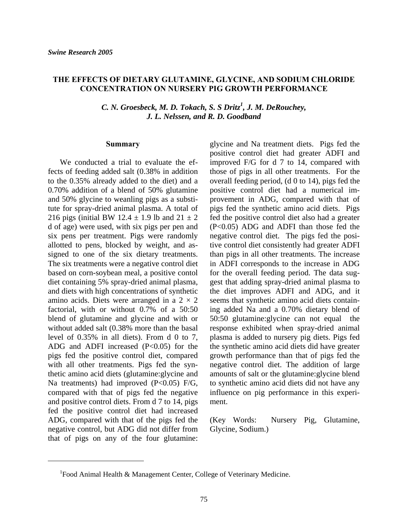## **THE EFFECTS OF DIETARY GLUTAMINE, GLYCINE, AND SODIUM CHLORIDE CONCENTRATION ON NURSERY PIG GROWTH PERFORMANCE**

*C. N. Groesbeck, M. D. Tokach, S. S Dritz<sup>1</sup> , J. M. DeRouchey, J. L. Nelssen, and R. D. Goodband* 

#### **Summary**

 We conducted a trial to evaluate the effects of feeding added salt (0.38% in addition to the 0.35% already added to the diet) and a 0.70% addition of a blend of 50% glutamine and 50% glycine to weanling pigs as a substitute for spray-dried animal plasma. A total of 216 pigs (initial BW 12.4  $\pm$  1.9 lb and 21  $\pm$  2 d of age) were used, with six pigs per pen and six pens per treatment. Pigs were randomly allotted to pens, blocked by weight, and assigned to one of the six dietary treatments. The six treatments were a negative control diet based on corn-soybean meal, a positive contol diet containing 5% spray-dried animal plasma, and diets with high concentrations of synthetic amino acids. Diets were arranged in a  $2 \times 2$ factorial, with or without 0.7% of a 50:50 blend of glutamine and glycine and with or without added salt (0.38% more than the basal level of 0.35% in all diets). From d 0 to 7, ADG and ADFI increased (P<0.05) for the pigs fed the positive control diet, compared with all other treatments. Pigs fed the synthetic amino acid diets (glutamine:glycine and Na treatments) had improved (P<0.05) F/G, compared with that of pigs fed the negative and positive control diets. From d 7 to 14, pigs fed the positive control diet had increased ADG, compared with that of the pigs fed the negative control, but ADG did not differ from that of pigs on any of the four glutamine:

l

glycine and Na treatment diets. Pigs fed the positive control diet had greater ADFI and improved F/G for d 7 to 14, compared with those of pigs in all other treatments. For the overall feeding period, (d 0 to 14), pigs fed the positive control diet had a numerical improvement in ADG, compared with that of pigs fed the synthetic amino acid diets. Pigs fed the positive control diet also had a greater (P<0.05) ADG and ADFI than those fed the negative control diet. The pigs fed the positive control diet consistently had greater ADFI than pigs in all other treatments. The increase in ADFI corresponds to the increase in ADG for the overall feeding period. The data suggest that adding spray-dried animal plasma to the diet improves ADFI and ADG, and it seems that synthetic amino acid diets containing added Na and a 0.70% dietary blend of 50:50 glutamine:glycine can not equal the response exhibited when spray-dried animal plasma is added to nursery pig diets. Pigs fed the synthetic amino acid diets did have greater growth performance than that of pigs fed the negative control diet. The addition of large amounts of salt or the glutamine:glycine blend to synthetic amino acid diets did not have any influence on pig performance in this experiment.

(Key Words: Nursery Pig, Glutamine, Glycine, Sodium.)

 $1$ Food Animal Health & Management Center, College of Veterinary Medicine.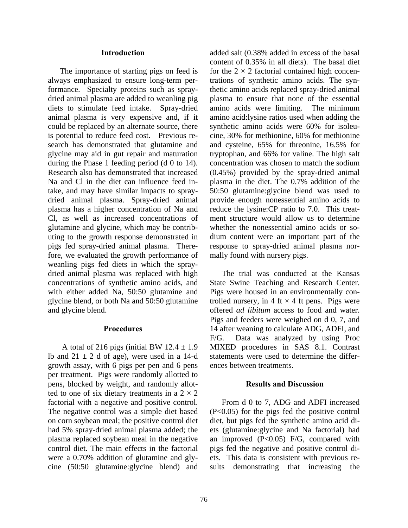### **Introduction**

 The importance of starting pigs on feed is always emphasized to ensure long-term performance. Specialty proteins such as spraydried animal plasma are added to weanling pig diets to stimulate feed intake. Spray-dried animal plasma is very expensive and, if it could be replaced by an alternate source, there is potential to reduce feed cost. Previous research has demonstrated that glutamine and glycine may aid in gut repair and maturation during the Phase 1 feeding period (d 0 to 14). Research also has demonstrated that increased Na and Cl in the diet can influence feed intake, and may have similar impacts to spraydried animal plasma. Spray-dried animal plasma has a higher concentration of Na and Cl, as well as increased concentrations of glutamine and glycine, which may be contributing to the growth response demonstrated in pigs fed spray-dried animal plasma. Therefore, we evaluated the growth performance of weanling pigs fed diets in which the spraydried animal plasma was replaced with high concentrations of synthetic amino acids, and with either added Na, 50:50 glutamine and glycine blend, or both Na and 50:50 glutamine and glycine blend.

### **Procedures**

A total of 216 pigs (initial BW  $12.4 \pm 1.9$ ) lb and  $21 \pm 2$  d of age), were used in a 14-d growth assay, with 6 pigs per pen and 6 pens per treatment. Pigs were randomly allotted to pens, blocked by weight, and randomly allotted to one of six dietary treatments in a  $2 \times 2$ factorial with a negative and positive control. The negative control was a simple diet based on corn soybean meal; the positive control diet had 5% spray-dried animal plasma added; the plasma replaced soybean meal in the negative control diet. The main effects in the factorial were a 0.70% addition of glutamine and glycine (50:50 glutamine:glycine blend) and

added salt (0.38% added in excess of the basal content of 0.35% in all diets). The basal diet for the  $2 \times 2$  factorial contained high concentrations of synthetic amino acids. The synthetic amino acids replaced spray-dried animal plasma to ensure that none of the essential amino acids were limiting. The minimum amino acid:lysine ratios used when adding the synthetic amino acids were 60% for isoleucine, 30% for methionine, 60% for methionine and cysteine, 65% for threonine, 16.5% for tryptophan, and 66% for valine. The high salt concentration was chosen to match the sodium (0.45%) provided by the spray-dried animal plasma in the diet. The 0.7% addition of the 50:50 glutamine:glycine blend was used to provide enough nonessential amino acids to reduce the lysine:CP ratio to 7.0. This treatment structure would allow us to determine whether the nonessential amino acids or sodium content were an important part of the response to spray-dried animal plasma normally found with nursery pigs.

 The trial was conducted at the Kansas State Swine Teaching and Research Center. Pigs were housed in an environmentally controlled nursery, in 4 ft  $\times$  4 ft pens. Pigs were offered *ad libitum* access to food and water. Pigs and feeders were weighed on d 0, 7, and 14 after weaning to calculate ADG, ADFI, and F/G. Data was analyzed by using Proc MIXED procedures in SAS 8.1. Contrast statements were used to determine the differences between treatments.

## **Results and Discussion**

 From d 0 to 7, ADG and ADFI increased (P<0.05) for the pigs fed the positive control diet, but pigs fed the synthetic amino acid diets (glutamine:glycine and Na factorial) had an improved  $(P<0.05)$  F/G, compared with pigs fed the negative and positive control diets. This data is consistent with previous results demonstrating that increasing the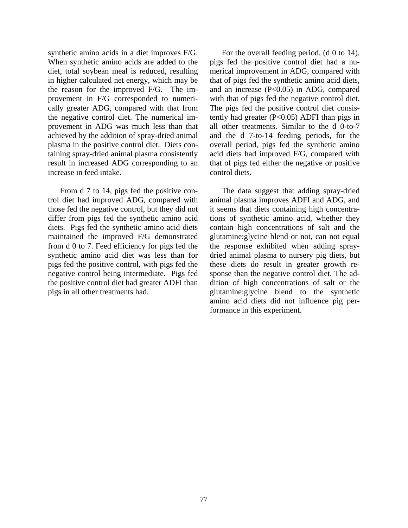synthetic amino acids in a diet improves F/G. When synthetic amino acids are added to the diet, total soybean meal is reduced, resulting in higher calculated net energy, which may be the reason for the improved F/G. The improvement in F/G corresponded to numerically greater ADG, compared with that from the negative control diet. The numerical improvement in ADG was much less than that achieved by the addition of spray-dried animal plasma in the positive control diet. Diets containing spray-dried animal plasma consistently result in increased ADG corresponding to an increase in feed intake.

 From d 7 to 14, pigs fed the positive control diet had improved ADG, compared with those fed the negative control, but they did not differ from pigs fed the synthetic amino acid diets. Pigs fed the synthetic amino acid diets maintained the improved F/G demonstrated from d 0 to 7. Feed efficiency for pigs fed the synthetic amino acid diet was less than for pigs fed the positive control, with pigs fed the negative control being intermediate. Pigs fed the positive control diet had greater ADFI than pigs in all other treatments had.

 For the overall feeding period, (d 0 to 14), pigs fed the positive control diet had a numerical improvement in ADG, compared with that of pigs fed the synthetic amino acid diets, and an increase  $(P<0.05)$  in ADG, compared with that of pigs fed the negative control diet. The pigs fed the positive control diet consistently had greater (P<0.05) ADFI than pigs in all other treatments. Similar to the d 0-to-7 and the d 7-to-14 feeding periods, for the overall period, pigs fed the synthetic amino acid diets had improved F/G, compared with that of pigs fed either the negative or positive control diets.

 The data suggest that adding spray-dried animal plasma improves ADFI and ADG, and it seems that diets containing high concentrations of synthetic amino acid, whether they contain high concentrations of salt and the glutamine:glycine blend or not, can not equal the response exhibited when adding spraydried animal plasma to nursery pig diets, but these diets do result in greater growth response than the negative control diet. The addition of high concentrations of salt or the glutamine:glycine blend to the synthetic amino acid diets did not influence pig performance in this experiment.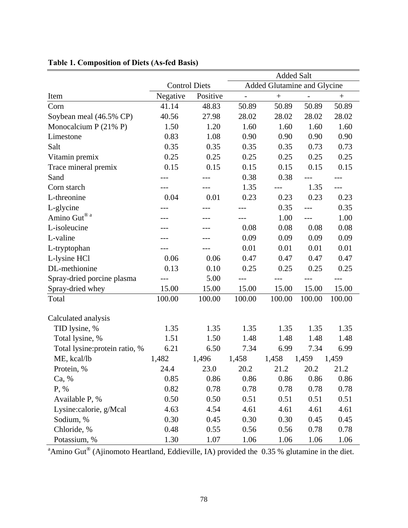|                                           |                      |          | <b>Added Salt</b>           |                  |                   |                  |
|-------------------------------------------|----------------------|----------|-----------------------------|------------------|-------------------|------------------|
|                                           | <b>Control Diets</b> |          | Added Glutamine and Glycine |                  |                   |                  |
| Item                                      | Negative             | Positive | $\overline{\phantom{0}}$    | $\boldsymbol{+}$ | $\qquad \qquad -$ | $\boldsymbol{+}$ |
| Corn                                      | 41.14                | 48.83    | 50.89                       | 50.89            | 50.89             | 50.89            |
| Soybean meal (46.5% CP)                   | 40.56                | 27.98    | 28.02                       | 28.02            | 28.02             | 28.02            |
| Monocalcium $P(21\% P)$                   | 1.50                 | 1.20     | 1.60                        | 1.60             | 1.60              | 1.60             |
| Limestone                                 | 0.83                 | 1.08     | 0.90                        | 0.90             | 0.90              | 0.90             |
| Salt                                      | 0.35                 | 0.35     | 0.35                        | 0.35             | 0.73              | 0.73             |
| Vitamin premix                            | 0.25                 | 0.25     | 0.25                        | 0.25             | 0.25              | 0.25             |
| Trace mineral premix                      | 0.15                 | 0.15     | 0.15                        | 0.15             | 0.15              | 0.15             |
| Sand                                      |                      |          | 0.38                        | 0.38             |                   |                  |
| Corn starch                               |                      |          | 1.35                        | $---$            | 1.35              | $---$            |
| L-threonine                               | 0.04                 | 0.01     | 0.23                        | 0.23             | 0.23              | 0.23             |
| L-glycine                                 |                      |          |                             | 0.35             |                   | 0.35             |
| Amino $\operatorname{Gut}^{\circledast$ a |                      |          |                             | 1.00             | $ -$              | 1.00             |
| L-isoleucine                              |                      |          | 0.08                        | 0.08             | 0.08              | 0.08             |
| L-valine                                  |                      |          | 0.09                        | 0.09             | 0.09              | 0.09             |
| L-tryptophan                              |                      |          | 0.01                        | 0.01             | 0.01              | 0.01             |
| L-lysine HCl                              | 0.06                 | 0.06     | 0.47                        | 0.47             | 0.47              | 0.47             |
| DL-methionine                             | 0.13                 | 0.10     | 0.25                        | 0.25             | 0.25              | 0.25             |
| Spray-dried porcine plasma                |                      | 5.00     |                             |                  |                   | ---              |
| Spray-dried whey                          | 15.00                | 15.00    | 15.00                       | 15.00            | 15.00             | 15.00            |
| Total                                     | 100.00               | 100.00   | 100.00                      | 100.00           | 100.00            | 100.00           |
| Calculated analysis                       |                      |          |                             |                  |                   |                  |
| TID lysine, %                             | 1.35                 | 1.35     | 1.35                        | 1.35             | 1.35              | 1.35             |
| Total lysine, %                           | 1.51                 | 1.50     | 1.48                        | 1.48             | 1.48              | 1.48             |
| Total lysine: protein ratio, %            | 6.21                 | 6.50     | 7.34                        | 6.99             | 7.34              | 6.99             |
| ME, kcal/lb                               | 1,482                | 1,496    | 1,458                       | 1,458            | 1,459             | 1,459            |
| Protein, %                                | 24.4                 | 23.0     | 20.2                        | 21.2             | 20.2              | 21.2             |
| Ca, %                                     | 0.85                 | 0.86     | 0.86                        | 0.86             | 0.86              | 0.86             |
| P, %                                      | 0.82                 | 0.78     | 0.78                        | 0.78             | 0.78              | 0.78             |
| Available P, %                            | 0.50                 | 0.50     | 0.51                        | 0.51             | 0.51              | 0.51             |
| Lysine:calorie, g/Mcal                    | 4.63                 | 4.54     | 4.61                        | 4.61             | 4.61              | 4.61             |
| Sodium, %                                 | 0.30                 | 0.45     | 0.30                        | 0.30             | 0.45              | 0.45             |
| Chloride, %                               | 0.48                 | 0.55     | 0.56                        | 0.56             | 0.78              | 0.78             |
| Potassium, %                              | 1.30                 | 1.07     | 1.06                        | 1.06             | 1.06              | 1.06             |

# **Table 1. Composition of Diets (As-fed Basis)**

<sup>a</sup>Amino Gut<sup>®</sup> (Ajinomoto Heartland, Eddieville, IA) provided the 0.35 % glutamine in the diet.